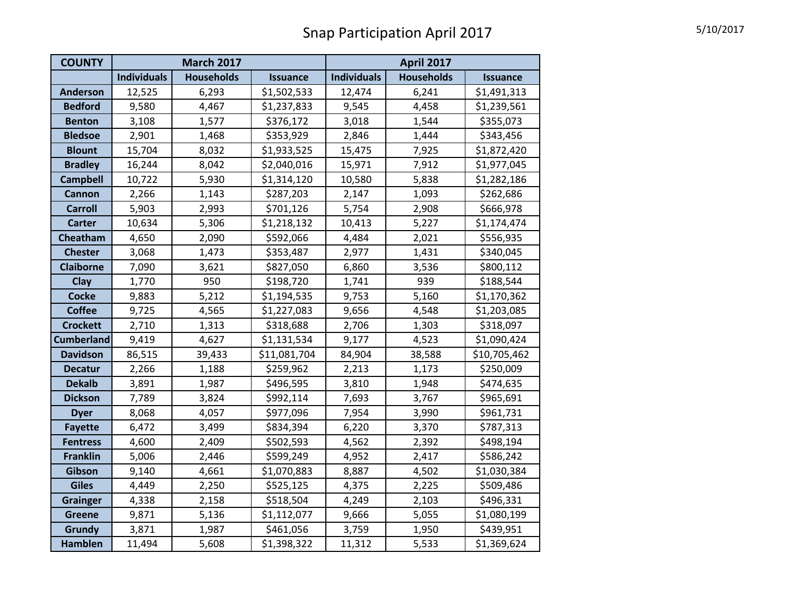| <b>COUNTY</b>     |                    | <b>March 2017</b> |                 | <b>April 2017</b>  |                   |                 |
|-------------------|--------------------|-------------------|-----------------|--------------------|-------------------|-----------------|
|                   | <b>Individuals</b> | <b>Households</b> | <b>Issuance</b> | <b>Individuals</b> | <b>Households</b> | <b>Issuance</b> |
| <b>Anderson</b>   | 12,525             | 6,293             | \$1,502,533     | 12,474             | 6,241             | \$1,491,313     |
| <b>Bedford</b>    | 9,580              | 4,467             | \$1,237,833     | 9,545              | 4,458             | \$1,239,561     |
| <b>Benton</b>     | 3,108              | 1,577             | \$376,172       | 3,018              | 1,544             | \$355,073       |
| <b>Bledsoe</b>    | 2,901              | 1,468             | \$353,929       | 2,846              | 1,444             | \$343,456       |
| <b>Blount</b>     | 15,704             | 8,032             | \$1,933,525     | 15,475             | 7,925             | \$1,872,420     |
| <b>Bradley</b>    | 16,244             | 8,042             | \$2,040,016     | 15,971             | 7,912             | \$1,977,045     |
| <b>Campbell</b>   | 10,722             | 5,930             | \$1,314,120     | 10,580             | 5,838             | \$1,282,186     |
| <b>Cannon</b>     | 2,266              | 1,143             | \$287,203       | 2,147              | 1,093             | \$262,686       |
| <b>Carroll</b>    | 5,903              | 2,993             | \$701,126       | 5,754              | 2,908             | \$666,978       |
| <b>Carter</b>     | 10,634             | 5,306             | \$1,218,132     | 10,413             | 5,227             | \$1,174,474     |
| Cheatham          | 4,650              | 2,090             | \$592,066       | 4,484              | 2,021             | \$556,935       |
| <b>Chester</b>    | 3,068              | 1,473             | \$353,487       | 2,977              | 1,431             | \$340,045       |
| <b>Claiborne</b>  | 7,090              | 3,621             | \$827,050       | 6,860              | 3,536             | \$800,112       |
| Clay              | 1,770              | 950               | \$198,720       | 1,741              | 939               | \$188,544       |
| <b>Cocke</b>      | 9,883              | 5,212             | \$1,194,535     | 9,753              | 5,160             | \$1,170,362     |
| <b>Coffee</b>     | 9,725              | 4,565             | \$1,227,083     | 9,656              | 4,548             | \$1,203,085     |
| <b>Crockett</b>   | 2,710              | 1,313             | \$318,688       | 2,706              | 1,303             | \$318,097       |
| <b>Cumberland</b> | 9,419              | 4,627             | \$1,131,534     | 9,177              | 4,523             | \$1,090,424     |
| <b>Davidson</b>   | 86,515             | 39,433            | \$11,081,704    | 84,904             | 38,588            | \$10,705,462    |
| <b>Decatur</b>    | 2,266              | 1,188             | \$259,962       | 2,213              | 1,173             | \$250,009       |
| <b>Dekalb</b>     | 3,891              | 1,987             | \$496,595       | 3,810              | 1,948             | \$474,635       |
| <b>Dickson</b>    | 7,789              | 3,824             | \$992,114       | 7,693              | 3,767             | \$965,691       |
| <b>Dyer</b>       | 8,068              | 4,057             | \$977,096       | 7,954              | 3,990             | \$961,731       |
| <b>Fayette</b>    | 6,472              | 3,499             | \$834,394       | 6,220              | 3,370             | \$787,313       |
| <b>Fentress</b>   | 4,600              | 2,409             | \$502,593       | 4,562              | 2,392             | \$498,194       |
| <b>Franklin</b>   | 5,006              | 2,446             | \$599,249       | 4,952              | 2,417             | \$586,242       |
| Gibson            | 9,140              | 4,661             | \$1,070,883     | 8,887              | 4,502             | \$1,030,384     |
| <b>Giles</b>      | 4,449              | 2,250             | \$525,125       | 4,375              | 2,225             | \$509,486       |
| <b>Grainger</b>   | 4,338              | 2,158             | \$518,504       | 4,249              | 2,103             | \$496,331       |
| <b>Greene</b>     | 9,871              | 5,136             | \$1,112,077     | 9,666              | 5,055             | \$1,080,199     |
| Grundy            | 3,871              | 1,987             | \$461,056       | 3,759              | 1,950             | \$439,951       |
| <b>Hamblen</b>    | 11,494             | 5,608             | \$1,398,322     | 11,312             | 5,533             | \$1,369,624     |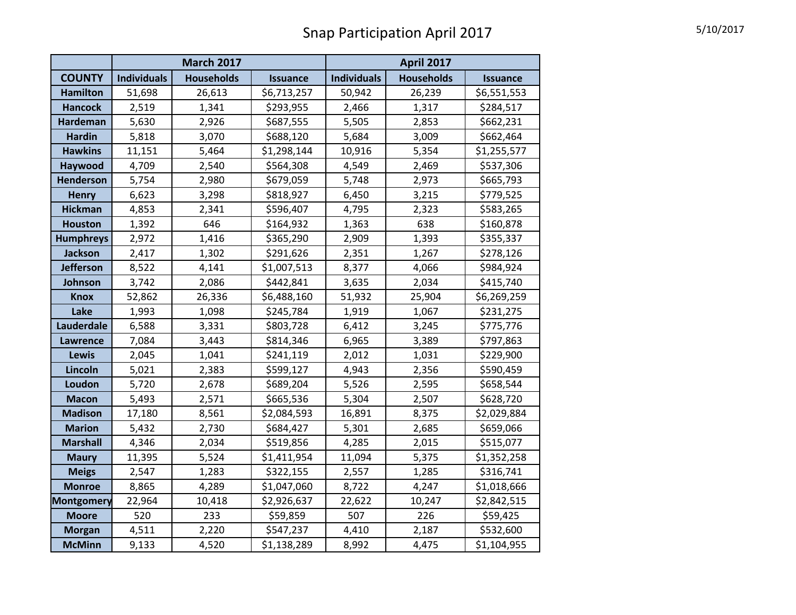|                   |                    | <b>March 2017</b> |                 | <b>April 2017</b>  |                   |                 |  |  |  |
|-------------------|--------------------|-------------------|-----------------|--------------------|-------------------|-----------------|--|--|--|
| <b>COUNTY</b>     | <b>Individuals</b> | <b>Households</b> | <b>Issuance</b> | <b>Individuals</b> | <b>Households</b> | <b>Issuance</b> |  |  |  |
| <b>Hamilton</b>   | 51,698             | 26,613            | \$6,713,257     | 50,942             | 26,239            | \$6,551,553     |  |  |  |
| <b>Hancock</b>    | 2,519              | 1,341             | \$293,955       | 2,466              | 1,317             | \$284,517       |  |  |  |
| <b>Hardeman</b>   | 5,630              | 2,926             | \$687,555       | 5,505              | 2,853             | \$662,231       |  |  |  |
| <b>Hardin</b>     | 5,818              | 3,070             | \$688,120       | 5,684              | 3,009             | \$662,464       |  |  |  |
| <b>Hawkins</b>    | 11,151             | 5,464             | \$1,298,144     | 10,916             | 5,354             | \$1,255,577     |  |  |  |
| Haywood           | 4,709              | 2,540             | \$564,308       | 4,549              | 2,469             | \$537,306       |  |  |  |
| <b>Henderson</b>  | 5,754              | 2,980             | \$679,059       | 5,748              | 2,973             | \$665,793       |  |  |  |
| <b>Henry</b>      | 6,623              | 3,298             | \$818,927       | 6,450              | 3,215             | \$779,525       |  |  |  |
| <b>Hickman</b>    | 4,853              | 2,341             | \$596,407       | 4,795              | 2,323             | \$583,265       |  |  |  |
| <b>Houston</b>    | 1,392              | 646               | \$164,932       | 1,363              | 638               | \$160,878       |  |  |  |
| <b>Humphreys</b>  | 2,972              | 1,416             | \$365,290       | 2,909              | 1,393             | \$355,337       |  |  |  |
| <b>Jackson</b>    | 2,417              | 1,302             | \$291,626       | 2,351              | 1,267             | \$278,126       |  |  |  |
| Jefferson         | 8,522              | 4,141             | \$1,007,513     | 8,377              | 4,066             | \$984,924       |  |  |  |
| Johnson           | 3,742              | 2,086             | \$442,841       | 3,635              | 2,034             | \$415,740       |  |  |  |
| <b>Knox</b>       | 52,862             | 26,336            | \$6,488,160     | 51,932             | 25,904            | \$6,269,259     |  |  |  |
| Lake              | 1,993              | 1,098             | \$245,784       | 1,919              | 1,067             | \$231,275       |  |  |  |
| Lauderdale        | 6,588              | 3,331             | \$803,728       | 6,412              | 3,245             | \$775,776       |  |  |  |
| Lawrence          | 7,084              | 3,443             | \$814,346       | 6,965              | 3,389             | \$797,863       |  |  |  |
| <b>Lewis</b>      | 2,045              | 1,041             | \$241,119       | 2,012              | 1,031             | \$229,900       |  |  |  |
| Lincoln           | 5,021              | 2,383             | \$599,127       | 4,943              | 2,356             | \$590,459       |  |  |  |
| Loudon            | 5,720              | 2,678             | \$689,204       | 5,526              | 2,595             | \$658,544       |  |  |  |
| <b>Macon</b>      | 5,493              | 2,571             | \$665,536       | 5,304              | 2,507             | \$628,720       |  |  |  |
| <b>Madison</b>    | 17,180             | 8,561             | \$2,084,593     | 16,891             | 8,375             | \$2,029,884     |  |  |  |
| <b>Marion</b>     | 5,432              | 2,730             | \$684,427       | 5,301              | 2,685             | \$659,066       |  |  |  |
| <b>Marshall</b>   | 4,346              | 2,034             | \$519,856       | 4,285              | 2,015             | \$515,077       |  |  |  |
| <b>Maury</b>      | 11,395             | 5,524             | \$1,411,954     | 11,094             | 5,375             | \$1,352,258     |  |  |  |
| <b>Meigs</b>      | 2,547              | 1,283             | \$322,155       | 2,557              | 1,285             | \$316,741       |  |  |  |
| <b>Monroe</b>     | 8,865              | 4,289             | \$1,047,060     | 8,722              | 4,247             | \$1,018,666     |  |  |  |
| <b>Montgomery</b> | 22,964             | 10,418            | \$2,926,637     | 22,622             | 10,247            | \$2,842,515     |  |  |  |
| <b>Moore</b>      | 520                | 233               | \$59,859        | 507                | 226               | \$59,425        |  |  |  |
| <b>Morgan</b>     | 4,511              | 2,220             | \$547,237       | 4,410              | 2,187             | \$532,600       |  |  |  |
| <b>McMinn</b>     | 9,133              | 4,520             | \$1,138,289     | 8,992              | 4,475             | \$1,104,955     |  |  |  |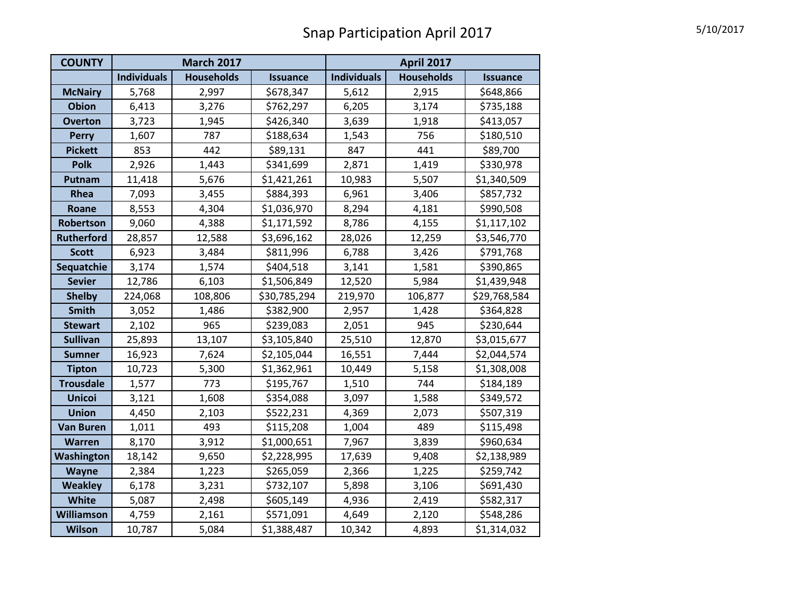| <b>COUNTY</b>     |                    | <b>March 2017</b> |                 | <b>April 2017</b>  |                   |                 |
|-------------------|--------------------|-------------------|-----------------|--------------------|-------------------|-----------------|
|                   | <b>Individuals</b> | <b>Households</b> | <b>Issuance</b> | <b>Individuals</b> | <b>Households</b> | <b>Issuance</b> |
| <b>McNairy</b>    | 5,768              | 2,997             | \$678,347       | 5,612              | 2,915             | \$648,866       |
| <b>Obion</b>      | 6,413              | 3,276             | \$762,297       | 6,205              | 3,174             | \$735,188       |
| <b>Overton</b>    | 3,723              | 1,945             | \$426,340       | 3,639              | 1,918             | \$413,057       |
| <b>Perry</b>      | 1,607              | 787               | \$188,634       | 1,543              | 756               | \$180,510       |
| <b>Pickett</b>    | 853                | 442               | \$89,131        | 847                | 441               | \$89,700        |
| <b>Polk</b>       | 2,926              | 1,443             | \$341,699       | 2,871              | 1,419             | \$330,978       |
| Putnam            | 11,418             | 5,676             | \$1,421,261     | 10,983             | 5,507             | \$1,340,509     |
| Rhea              | 7,093              | 3,455             | \$884,393       | 6,961              | 3,406             | \$857,732       |
| Roane             | 8,553              | 4,304             | \$1,036,970     | 8,294              | 4,181             | \$990,508       |
| Robertson         | 9,060              | 4,388             | \$1,171,592     | 8,786              | 4,155             | \$1,117,102     |
| <b>Rutherford</b> | 28,857             | 12,588            | \$3,696,162     | 28,026             | 12,259            | \$3,546,770     |
| <b>Scott</b>      | 6,923              | 3,484             | \$811,996       | 6,788              | 3,426             | \$791,768       |
| Sequatchie        | 3,174              | 1,574             | \$404,518       | 3,141              | 1,581             | \$390,865       |
| <b>Sevier</b>     | 12,786             | 6,103             | \$1,506,849     | 12,520             | 5,984             | \$1,439,948     |
| <b>Shelby</b>     | 224,068            | 108,806           | \$30,785,294    | 219,970            | 106,877           | \$29,768,584    |
| <b>Smith</b>      | 3,052              | 1,486             | \$382,900       | 2,957              | 1,428             | \$364,828       |
| <b>Stewart</b>    | 2,102              | 965               | \$239,083       | 2,051              | 945               | \$230,644       |
| <b>Sullivan</b>   | 25,893             | 13,107            | \$3,105,840     | 25,510             | 12,870            | \$3,015,677     |
| <b>Sumner</b>     | 16,923             | 7,624             | \$2,105,044     | 16,551             | 7,444             | \$2,044,574     |
| <b>Tipton</b>     | 10,723             | 5,300             | \$1,362,961     | 10,449             | 5,158             | \$1,308,008     |
| <b>Trousdale</b>  | 1,577              | 773               | \$195,767       | 1,510              | 744               | \$184,189       |
| <b>Unicoi</b>     | 3,121              | 1,608             | \$354,088       | 3,097              | 1,588             | \$349,572       |
| <b>Union</b>      | 4,450              | 2,103             | \$522,231       | 4,369              | 2,073             | \$507,319       |
| <b>Van Buren</b>  | 1,011              | 493               | \$115,208       | 1,004              | 489               | \$115,498       |
| Warren            | 8,170              | 3,912             | \$1,000,651     | 7,967              | 3,839             | \$960,634       |
| Washington        | 18,142             | 9,650             | \$2,228,995     | 17,639             | 9,408             | \$2,138,989     |
| <b>Wayne</b>      | 2,384              | 1,223             | \$265,059       | 2,366              | 1,225             | \$259,742       |
| <b>Weakley</b>    | 6,178              | 3,231             | \$732,107       | 5,898              | 3,106             | \$691,430       |
| White             | 5,087              | 2,498             | \$605,149       | 4,936              | 2,419             | \$582,317       |
| Williamson        | 4,759              | 2,161             | \$571,091       | 4,649              | 2,120             | \$548,286       |
| Wilson            | 10,787             | 5,084             | \$1,388,487     | 10,342             | 4,893             | \$1,314,032     |